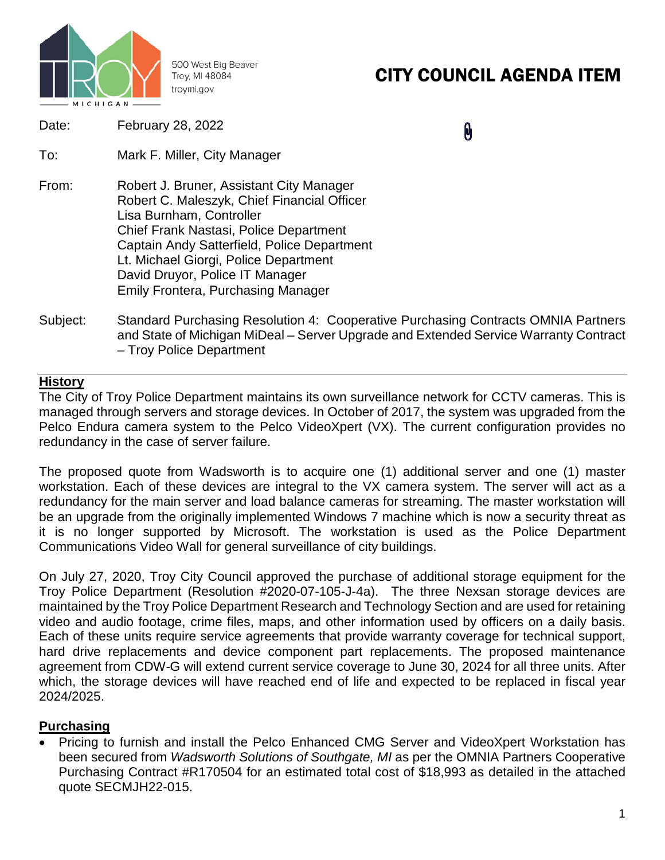

500 West Big Beaver Troy, MI 48084 troymi.gov

# CITY COUNCIL AGENDA ITEM

| Date: | February 28, 2022 |
|-------|-------------------|
|-------|-------------------|

0

- To: Mark F. Miller, City Manager
- From: Robert J. Bruner, Assistant City Manager Robert C. Maleszyk, Chief Financial Officer Lisa Burnham, Controller Chief Frank Nastasi, Police Department Captain Andy Satterfield, Police Department Lt. Michael Giorgi, Police Department David Druyor, Police IT Manager Emily Frontera, Purchasing Manager
- Subject: Standard Purchasing Resolution 4: Cooperative Purchasing Contracts OMNIA Partners and State of Michigan MiDeal – Server Upgrade and Extended Service Warranty Contract – Troy Police Department

### **History**

The City of Troy Police Department maintains its own surveillance network for CCTV cameras. This is managed through servers and storage devices. In October of 2017, the system was upgraded from the Pelco Endura camera system to the Pelco VideoXpert (VX). The current configuration provides no redundancy in the case of server failure.

The proposed quote from Wadsworth is to acquire one (1) additional server and one (1) master workstation. Each of these devices are integral to the VX camera system. The server will act as a redundancy for the main server and load balance cameras for streaming. The master workstation will be an upgrade from the originally implemented Windows 7 machine which is now a security threat as it is no longer supported by Microsoft. The workstation is used as the Police Department Communications Video Wall for general surveillance of city buildings.

On July 27, 2020, Troy City Council approved the purchase of additional storage equipment for the Troy Police Department (Resolution #2020-07-105-J-4a). The three Nexsan storage devices are maintained by the Troy Police Department Research and Technology Section and are used for retaining video and audio footage, crime files, maps, and other information used by officers on a daily basis. Each of these units require service agreements that provide warranty coverage for technical support, hard drive replacements and device component part replacements. The proposed maintenance agreement from CDW-G will extend current service coverage to June 30, 2024 for all three units. After which, the storage devices will have reached end of life and expected to be replaced in fiscal year 2024/2025.

### **Purchasing**

• Pricing to furnish and install the Pelco Enhanced CMG Server and VideoXpert Workstation has been secured from *Wadsworth Solutions of Southgate, MI* as per the OMNIA Partners Cooperative Purchasing Contract #R170504 for an estimated total cost of \$18,993 as detailed in the attached quote SECMJH22-015.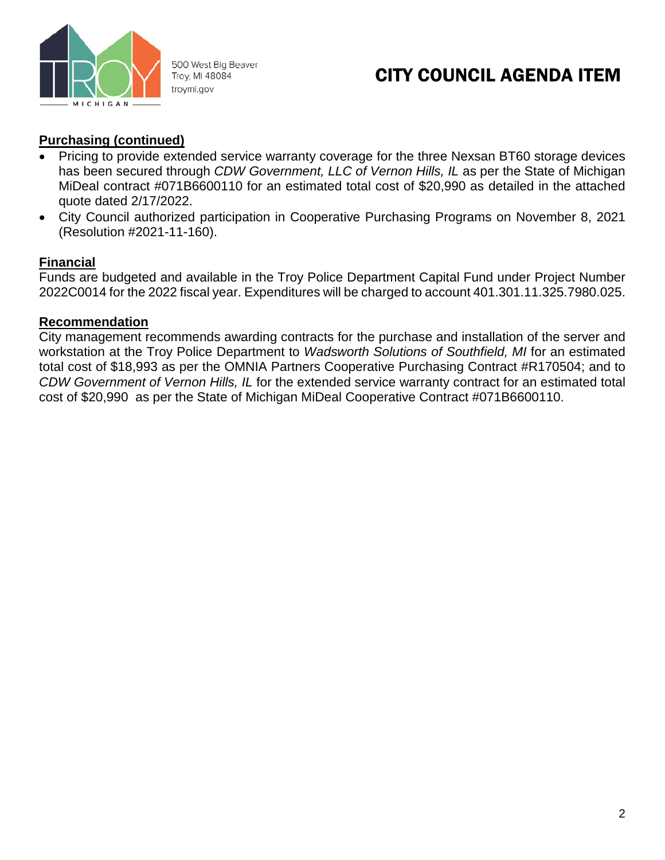

500 West Big Beaver Troy, MI 48084 troymi.gov

## CITY COUNCIL AGENDA ITEM

### **Purchasing (continued)**

- Pricing to provide extended service warranty coverage for the three Nexsan BT60 storage devices has been secured through *CDW Government, LLC of Vernon Hills, IL* as per the State of Michigan MiDeal contract #071B6600110 for an estimated total cost of \$20,990 as detailed in the attached quote dated 2/17/2022.
- City Council authorized participation in Cooperative Purchasing Programs on November 8, 2021 (Resolution #2021-11-160).

### **Financial**

Funds are budgeted and available in the Troy Police Department Capital Fund under Project Number 2022C0014 for the 2022 fiscal year. Expenditures will be charged to account 401.301.11.325.7980.025.

### **Recommendation**

City management recommends awarding contracts for the purchase and installation of the server and workstation at the Troy Police Department to *Wadsworth Solutions of Southfield, MI* for an estimated total cost of \$18,993 as per the OMNIA Partners Cooperative Purchasing Contract #R170504; and to *CDW Government of Vernon Hills, IL* for the extended service warranty contract for an estimated total cost of \$20,990 as per the State of Michigan MiDeal Cooperative Contract #071B6600110.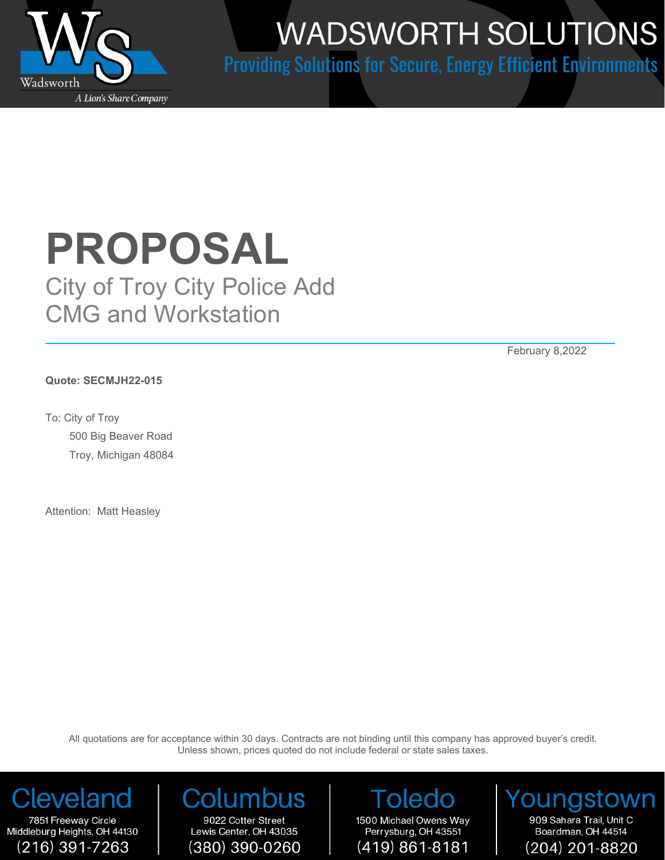

# **WADSWORTH SOLUTIONS**

**Providing Solutions for Secure, Energy Efficient Environments** 

# **PROPOSAL**

City of Troy City Police Add CMG and Workstation

February 8,2022

**Quote: SECMJH22-015**

To: City of Troy 500 Big Beaver Road Troy, Michigan 48084

Attention: Matt Heasley

All quotations are for acceptance within 30 days. Contracts are not binding until this company has approved buyer's credit. Unless shown, prices quoted do not include federal or state sales taxes.

Cleveland

7851 Freeway Circle Middleburg Heights, OH 44130  $(216)$  391-7263

# 9022 Cotter Street

Lewis Center, OH 43035 (380) 390-0260

oledo 1500 Michael Owens Way Perrysburg, OH 43551  $(419) 861 - 8181$ 

Younasto 909 Sahara Trail, Unit C Boardman, OH 44514 (204) 201-8820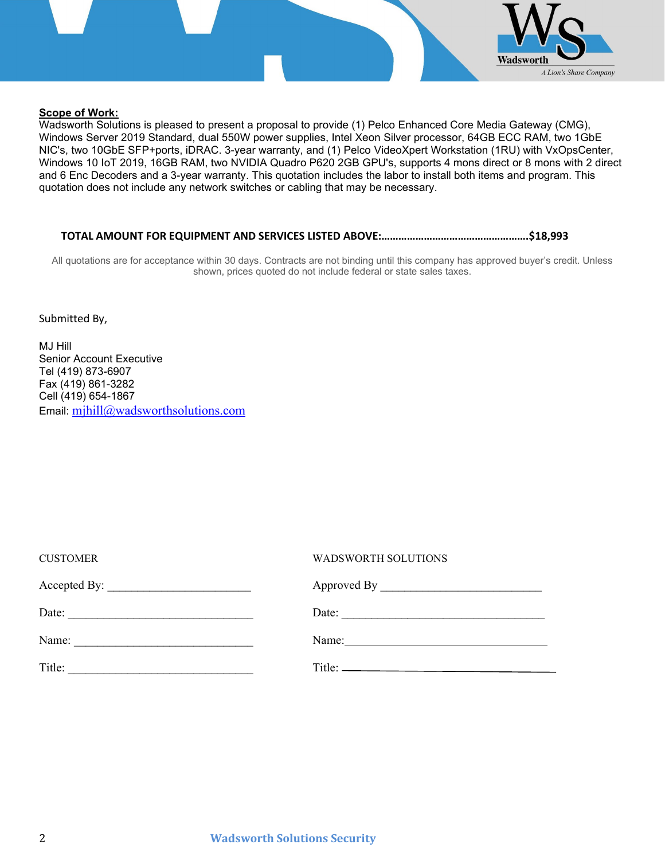

### **Scope of Work:**

Wadsworth Solutions is pleased to present a proposal to provide (1) Pelco Enhanced Core Media Gateway (CMG), Windows Server 2019 Standard, dual 550W power supplies, Intel Xeon Silver processor, 64GB ECC RAM, two 1GbE NIC's, two 10GbE SFP+ports, iDRAC. 3-year warranty, and (1) Pelco VideoXpert Workstation (1RU) with VxOpsCenter, Windows 10 IoT 2019, 16GB RAM, two NVIDIA Quadro P620 2GB GPU's, supports 4 mons direct or 8 mons with 2 direct and 6 Enc Decoders and a 3-year warranty. This quotation includes the labor to install both items and program. This quotation does not include any network switches or cabling that may be necessary.

### **TOTAL AMOUNT FOR EQUIPMENT AND SERVICES LISTED ABOVE:…………………………………………….\$18,993**

All quotations are for acceptance within 30 days. Contracts are not binding until this company has approved buyer's credit. Unless shown, prices quoted do not include federal or state sales taxes.

Submitted By,

MJ Hill Senior Account Executive Tel (419) 873-6907 Fax (419) 861-3282 Cell (419) 654-1867 Email: [mjhill@wadsworthsolutions.com](mailto:mjhill@wadsworthsolutions.com)

| <b>CUSTOMER</b>                                                                                                                                                                                                                                | WADSWORTH SOLUTIONS   |
|------------------------------------------------------------------------------------------------------------------------------------------------------------------------------------------------------------------------------------------------|-----------------------|
|                                                                                                                                                                                                                                                |                       |
| Date:                                                                                                                                                                                                                                          | Date: $\qquad \qquad$ |
| Name:<br><u> 1980 - Jan James James Barbara, politik eta politikaria (h. 1905).</u>                                                                                                                                                            |                       |
| Title:<br><u> 1989 - Jan Sterling van die Sterling van die Sterling van die Sterling van die Sterling van die Sterling van die Sterling van die Sterling van die Sterling van die Sterling van die Sterling van die Sterling van die Sterl</u> |                       |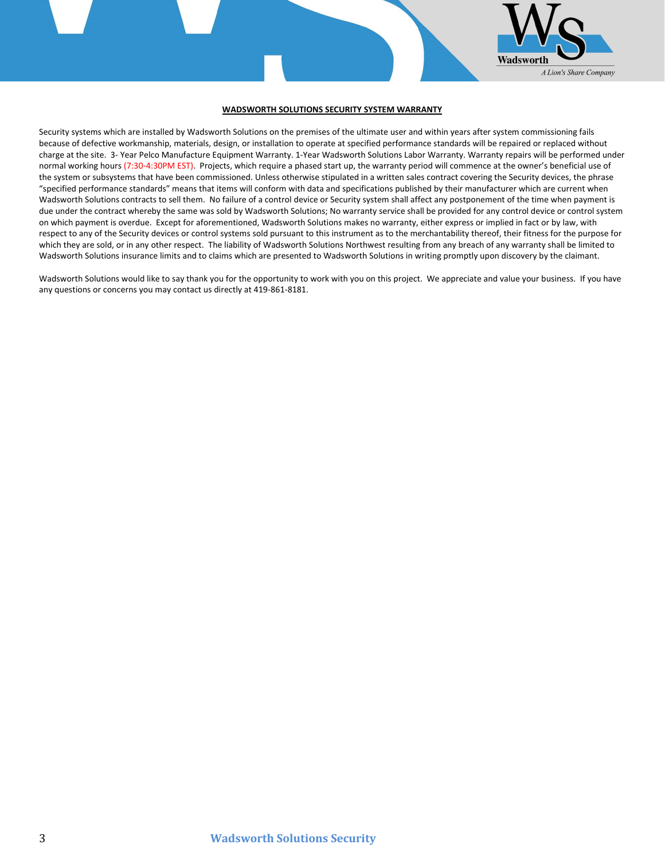

#### **WADSWORTH SOLUTIONS SECURITY SYSTEM WARRANTY**

Security systems which are installed by Wadsworth Solutions on the premises of the ultimate user and within years after system commissioning fails because of defective workmanship, materials, design, or installation to operate at specified performance standards will be repaired or replaced without charge at the site. 3- Year Pelco Manufacture Equipment Warranty. 1-Year Wadsworth Solutions Labor Warranty. Warranty repairs will be performed under normal working hours (7:30-4:30PM EST). Projects, which require a phased start up, the warranty period will commence at the owner's beneficial use of the system or subsystems that have been commissioned. Unless otherwise stipulated in a written sales contract covering the Security devices, the phrase "specified performance standards" means that items will conform with data and specifications published by their manufacturer which are current when Wadsworth Solutions contracts to sell them. No failure of a control device or Security system shall affect any postponement of the time when payment is due under the contract whereby the same was sold by Wadsworth Solutions; No warranty service shall be provided for any control device or control system on which payment is overdue. Except for aforementioned, Wadsworth Solutions makes no warranty, either express or implied in fact or by law, with respect to any of the Security devices or control systems sold pursuant to this instrument as to the merchantability thereof, their fitness for the purpose for which they are sold, or in any other respect. The liability of Wadsworth Solutions Northwest resulting from any breach of any warranty shall be limited to Wadsworth Solutions insurance limits and to claims which are presented to Wadsworth Solutions in writing promptly upon discovery by the claimant.

Wadsworth Solutions would like to say thank you for the opportunity to work with you on this project. We appreciate and value your business. If you have any questions or concerns you may contact us directly at 419-861-8181.